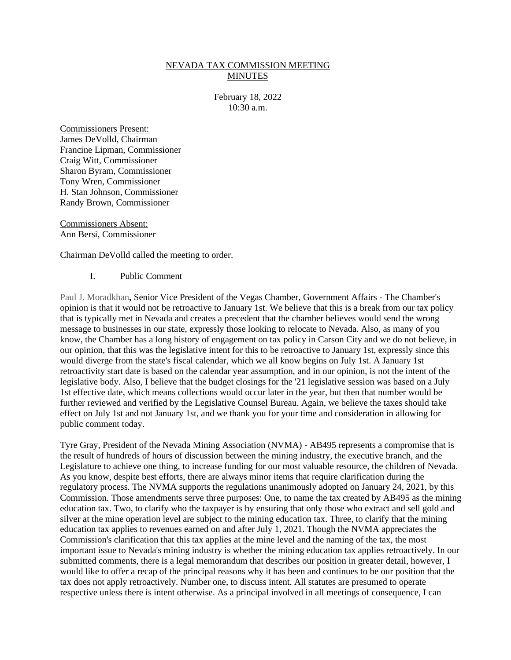## NEVADA TAX COMMISSION MEETING MINUTES

February 18, 2022 10:30 a.m.

Commissioners Present: James DeVolld, Chairman Francine Lipman, Commissioner Craig Witt, Commissioner Sharon Byram, Commissioner Tony Wren, Commissioner H. Stan Johnson, Commissioner Randy Brown, Commissioner

Commissioners Absent: Ann Bersi, Commissioner

Chairman DeVolld called the meeting to order.

I. Public Comment

Paul J. Moradkhan**,** Senior Vice President of the Vegas Chamber, Government Affairs - The Chamber's opinion is that it would not be retroactive to January 1st. We believe that this is a break from our tax policy that is typically met in Nevada and creates a precedent that the chamber believes would send the wrong message to businesses in our state, expressly those looking to relocate to Nevada. Also, as many of you know, the Chamber has a long history of engagement on tax policy in Carson City and we do not believe, in our opinion, that this was the legislative intent for this to be retroactive to January 1st, expressly since this would diverge from the state's fiscal calendar, which we all know begins on July 1st. A January 1st retroactivity start date is based on the calendar year assumption, and in our opinion, is not the intent of the legislative body. Also, I believe that the budget closings for the '21 legislative session was based on a July 1st effective date, which means collections would occur later in the year, but then that number would be further reviewed and verified by the Legislative Counsel Bureau. Again, we believe the taxes should take effect on July 1st and not January 1st, and we thank you for your time and consideration in allowing for public comment today.

Tyre Gray, President of the Nevada Mining Association (NVMA) - AB495 represents a compromise that is the result of hundreds of hours of discussion between the mining industry, the executive branch, and the Legislature to achieve one thing, to increase funding for our most valuable resource, the children of Nevada. As you know, despite best efforts, there are always minor items that require clarification during the regulatory process. The NVMA supports the regulations unanimously adopted on January 24, 2021, by this Commission. Those amendments serve three purposes: One, to name the tax created by AB495 as the mining education tax. Two, to clarify who the taxpayer is by ensuring that only those who extract and sell gold and silver at the mine operation level are subject to the mining education tax. Three, to clarify that the mining education tax applies to revenues earned on and after July 1, 2021. Though the NVMA appreciates the Commission's clarification that this tax applies at the mine level and the naming of the tax, the most important issue to Nevada's mining industry is whether the mining education tax applies retroactively. In our submitted comments, there is a legal memorandum that describes our position in greater detail, however, I would like to offer a recap of the principal reasons why it has been and continues to be our position that the tax does not apply retroactively. Number one, to discuss intent. All statutes are presumed to operate respective unless there is intent otherwise. As a principal involved in all meetings of consequence, I can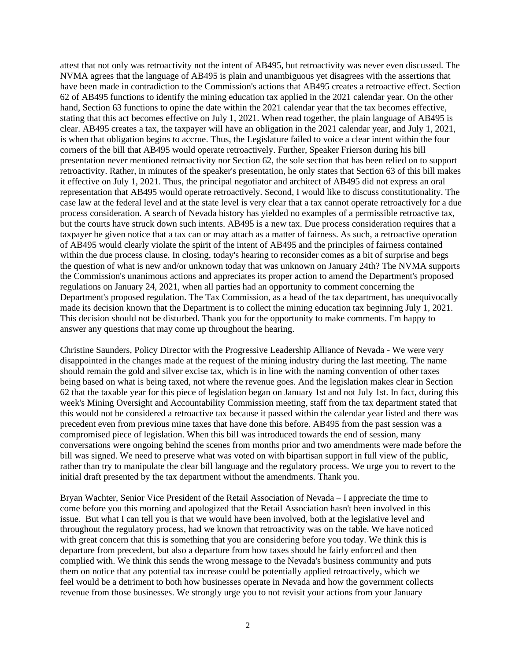attest that not only was retroactivity not the intent of AB495, but retroactivity was never even discussed. The NVMA agrees that the language of AB495 is plain and unambiguous yet disagrees with the assertions that have been made in contradiction to the Commission's actions that AB495 creates a retroactive effect. Section 62 of AB495 functions to identify the mining education tax applied in the 2021 calendar year. On the other hand, Section 63 functions to opine the date within the 2021 calendar year that the tax becomes effective, stating that this act becomes effective on July 1, 2021. When read together, the plain language of AB495 is clear. AB495 creates a tax, the taxpayer will have an obligation in the 2021 calendar year, and July 1, 2021, is when that obligation begins to accrue. Thus, the Legislature failed to voice a clear intent within the four corners of the bill that AB495 would operate retroactively. Further, Speaker Frierson during his bill presentation never mentioned retroactivity nor Section 62, the sole section that has been relied on to support retroactivity. Rather, in minutes of the speaker's presentation, he only states that Section 63 of this bill makes it effective on July 1, 2021. Thus, the principal negotiator and architect of AB495 did not express an oral representation that AB495 would operate retroactively. Second, I would like to discuss constitutionality. The case law at the federal level and at the state level is very clear that a tax cannot operate retroactively for a due process consideration. A search of Nevada history has yielded no examples of a permissible retroactive tax, but the courts have struck down such intents. AB495 is a new tax. Due process consideration requires that a taxpayer be given notice that a tax can or may attach as a matter of fairness. As such, a retroactive operation of AB495 would clearly violate the spirit of the intent of AB495 and the principles of fairness contained within the due process clause. In closing, today's hearing to reconsider comes as a bit of surprise and begs the question of what is new and/or unknown today that was unknown on January 24th? The NVMA supports the Commission's unanimous actions and appreciates its proper action to amend the Department's proposed regulations on January 24, 2021, when all parties had an opportunity to comment concerning the Department's proposed regulation. The Tax Commission, as a head of the tax department, has unequivocally made its decision known that the Department is to collect the mining education tax beginning July 1, 2021. This decision should not be disturbed. Thank you for the opportunity to make comments. I'm happy to answer any questions that may come up throughout the hearing.

Christine Saunders, Policy Director with the Progressive Leadership Alliance of Nevada - We were very disappointed in the changes made at the request of the mining industry during the last meeting. The name should remain the gold and silver excise tax, which is in line with the naming convention of other taxes being based on what is being taxed, not where the revenue goes. And the legislation makes clear in Section 62 that the taxable year for this piece of legislation began on January 1st and not July 1st. In fact, during this week's Mining Oversight and Accountability Commission meeting, staff from the tax department stated that this would not be considered a retroactive tax because it passed within the calendar year listed and there was precedent even from previous mine taxes that have done this before. AB495 from the past session was a compromised piece of legislation. When this bill was introduced towards the end of session, many conversations were ongoing behind the scenes from months prior and two amendments were made before the bill was signed. We need to preserve what was voted on with bipartisan support in full view of the public, rather than try to manipulate the clear bill language and the regulatory process. We urge you to revert to the initial draft presented by the tax department without the amendments. Thank you.

Bryan Wachter, Senior Vice President of the Retail Association of Nevada – I appreciate the time to come before you this morning and apologized that the Retail Association hasn't been involved in this issue. But what I can tell you is that we would have been involved, both at the legislative level and throughout the regulatory process, had we known that retroactivity was on the table. We have noticed with great concern that this is something that you are considering before you today. We think this is departure from precedent, but also a departure from how taxes should be fairly enforced and then complied with. We think this sends the wrong message to the Nevada's business community and puts them on notice that any potential tax increase could be potentially applied retroactively, which we feel would be a detriment to both how businesses operate in Nevada and how the government collects revenue from those businesses. We strongly urge you to not revisit your actions from your January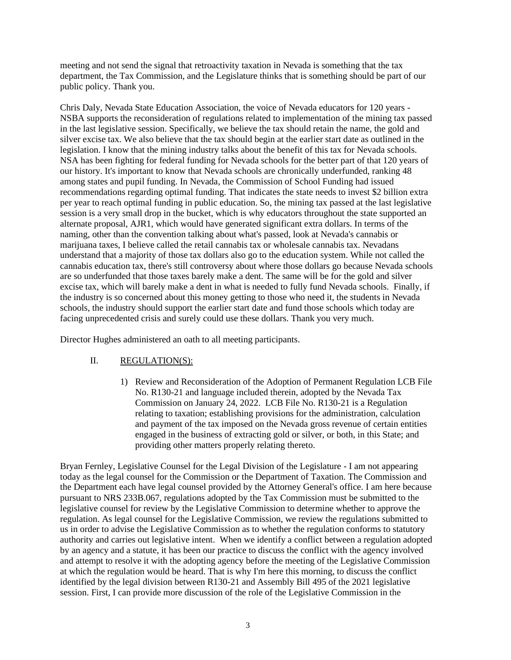meeting and not send the signal that retroactivity taxation in Nevada is something that the tax department, the Tax Commission, and the Legislature thinks that is something should be part of our public policy. Thank you.

Chris Daly, Nevada State Education Association, the voice of Nevada educators for 120 years - NSBA supports the reconsideration of regulations related to implementation of the mining tax passed in the last legislative session. Specifically, we believe the tax should retain the name, the gold and silver excise tax. We also believe that the tax should begin at the earlier start date as outlined in the legislation. I know that the mining industry talks about the benefit of this tax for Nevada schools. NSA has been fighting for federal funding for Nevada schools for the better part of that 120 years of our history. It's important to know that Nevada schools are chronically underfunded, ranking 48 among states and pupil funding. In Nevada, the Commission of School Funding had issued recommendations regarding optimal funding. That indicates the state needs to invest \$2 billion extra per year to reach optimal funding in public education. So, the mining tax passed at the last legislative session is a very small drop in the bucket, which is why educators throughout the state supported an alternate proposal, AJR1, which would have generated significant extra dollars. In terms of the naming, other than the convention talking about what's passed, look at Nevada's cannabis or marijuana taxes, I believe called the retail cannabis tax or wholesale cannabis tax. Nevadans understand that a majority of those tax dollars also go to the education system. While not called the cannabis education tax, there's still controversy about where those dollars go because Nevada schools are so underfunded that those taxes barely make a dent. The same will be for the gold and silver excise tax, which will barely make a dent in what is needed to fully fund Nevada schools. Finally, if the industry is so concerned about this money getting to those who need it, the students in Nevada schools, the industry should support the earlier start date and fund those schools which today are facing unprecedented crisis and surely could use these dollars. Thank you very much.

Director Hughes administered an oath to all meeting participants.

## II. REGULATION(S):

1) Review and Reconsideration of the Adoption of Permanent Regulation LCB File No. R130-21 and language included therein, adopted by the Nevada Tax Commission on January 24, 2022. LCB File No. R130-21 is a Regulation relating to taxation; establishing provisions for the administration, calculation and payment of the tax imposed on the Nevada gross revenue of certain entities engaged in the business of extracting gold or silver, or both, in this State; and providing other matters properly relating thereto.

Bryan Fernley, Legislative Counsel for the Legal Division of the Legislature - I am not appearing today as the legal counsel for the Commission or the Department of Taxation. The Commission and the Department each have legal counsel provided by the Attorney General's office. I am here because pursuant to NRS 233B.067, regulations adopted by the Tax Commission must be submitted to the legislative counsel for review by the Legislative Commission to determine whether to approve the regulation. As legal counsel for the Legislative Commission, we review the regulations submitted to us in order to advise the Legislative Commission as to whether the regulation conforms to statutory authority and carries out legislative intent. When we identify a conflict between a regulation adopted by an agency and a statute, it has been our practice to discuss the conflict with the agency involved and attempt to resolve it with the adopting agency before the meeting of the Legislative Commission at which the regulation would be heard. That is why I'm here this morning, to discuss the conflict identified by the legal division between R130-21 and Assembly Bill 495 of the 2021 legislative session. First, I can provide more discussion of the role of the Legislative Commission in the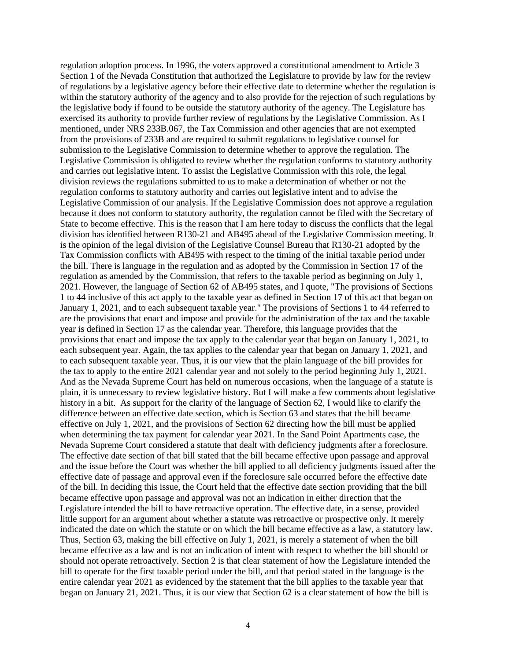regulation adoption process. In 1996, the voters approved a constitutional amendment to Article 3 Section 1 of the Nevada Constitution that authorized the Legislature to provide by law for the review of regulations by a legislative agency before their effective date to determine whether the regulation is within the statutory authority of the agency and to also provide for the rejection of such regulations by the legislative body if found to be outside the statutory authority of the agency. The Legislature has exercised its authority to provide further review of regulations by the Legislative Commission. As I mentioned, under NRS 233B.067, the Tax Commission and other agencies that are not exempted from the provisions of 233B and are required to submit regulations to legislative counsel for submission to the Legislative Commission to determine whether to approve the regulation. The Legislative Commission is obligated to review whether the regulation conforms to statutory authority and carries out legislative intent. To assist the Legislative Commission with this role, the legal division reviews the regulations submitted to us to make a determination of whether or not the regulation conforms to statutory authority and carries out legislative intent and to advise the Legislative Commission of our analysis. If the Legislative Commission does not approve a regulation because it does not conform to statutory authority, the regulation cannot be filed with the Secretary of State to become effective. This is the reason that I am here today to discuss the conflicts that the legal division has identified between R130-21 and AB495 ahead of the Legislative Commission meeting. It is the opinion of the legal division of the Legislative Counsel Bureau that R130-21 adopted by the Tax Commission conflicts with AB495 with respect to the timing of the initial taxable period under the bill. There is language in the regulation and as adopted by the Commission in Section 17 of the regulation as amended by the Commission, that refers to the taxable period as beginning on July 1, 2021. However, the language of Section 62 of AB495 states, and I quote, "The provisions of Sections 1 to 44 inclusive of this act apply to the taxable year as defined in Section 17 of this act that began on January 1, 2021, and to each subsequent taxable year." The provisions of Sections 1 to 44 referred to are the provisions that enact and impose and provide for the administration of the tax and the taxable year is defined in Section 17 as the calendar year. Therefore, this language provides that the provisions that enact and impose the tax apply to the calendar year that began on January 1, 2021, to each subsequent year. Again, the tax applies to the calendar year that began on January 1, 2021, and to each subsequent taxable year. Thus, it is our view that the plain language of the bill provides for the tax to apply to the entire 2021 calendar year and not solely to the period beginning July 1, 2021. And as the Nevada Supreme Court has held on numerous occasions, when the language of a statute is plain, it is unnecessary to review legislative history. But I will make a few comments about legislative history in a bit. As support for the clarity of the language of Section 62, I would like to clarify the difference between an effective date section, which is Section 63 and states that the bill became effective on July 1, 2021, and the provisions of Section 62 directing how the bill must be applied when determining the tax payment for calendar year 2021. In the Sand Point Apartments case, the Nevada Supreme Court considered a statute that dealt with deficiency judgments after a foreclosure. The effective date section of that bill stated that the bill became effective upon passage and approval and the issue before the Court was whether the bill applied to all deficiency judgments issued after the effective date of passage and approval even if the foreclosure sale occurred before the effective date of the bill. In deciding this issue, the Court held that the effective date section providing that the bill became effective upon passage and approval was not an indication in either direction that the Legislature intended the bill to have retroactive operation. The effective date, in a sense, provided little support for an argument about whether a statute was retroactive or prospective only. It merely indicated the date on which the statute or on which the bill became effective as a law, a statutory law. Thus, Section 63, making the bill effective on July 1, 2021, is merely a statement of when the bill became effective as a law and is not an indication of intent with respect to whether the bill should or should not operate retroactively. Section 2 is that clear statement of how the Legislature intended the bill to operate for the first taxable period under the bill, and that period stated in the language is the entire calendar year 2021 as evidenced by the statement that the bill applies to the taxable year that began on January 21, 2021. Thus, it is our view that Section 62 is a clear statement of how the bill is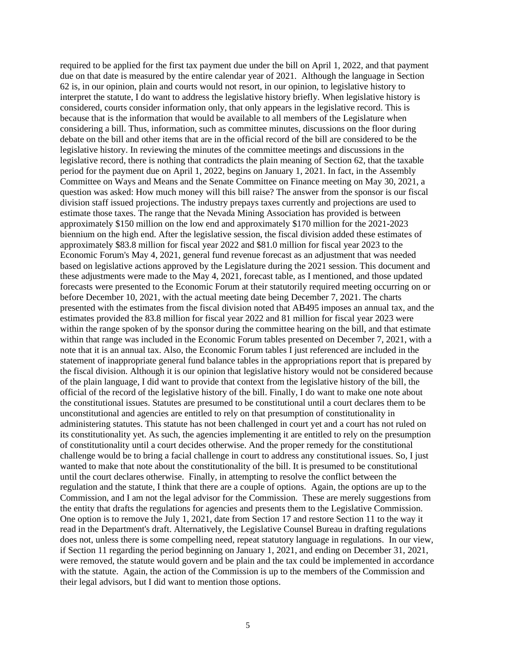required to be applied for the first tax payment due under the bill on April 1, 2022, and that payment due on that date is measured by the entire calendar year of 2021. Although the language in Section 62 is, in our opinion, plain and courts would not resort, in our opinion, to legislative history to interpret the statute, I do want to address the legislative history briefly. When legislative history is considered, courts consider information only, that only appears in the legislative record. This is because that is the information that would be available to all members of the Legislature when considering a bill. Thus, information, such as committee minutes, discussions on the floor during debate on the bill and other items that are in the official record of the bill are considered to be the legislative history. In reviewing the minutes of the committee meetings and discussions in the legislative record, there is nothing that contradicts the plain meaning of Section 62, that the taxable period for the payment due on April 1, 2022, begins on January 1, 2021. In fact, in the Assembly Committee on Ways and Means and the Senate Committee on Finance meeting on May 30, 2021, a question was asked: How much money will this bill raise? The answer from the sponsor is our fiscal division staff issued projections. The industry prepays taxes currently and projections are used to estimate those taxes. The range that the Nevada Mining Association has provided is between approximately \$150 million on the low end and approximately \$170 million for the 2021-2023 biennium on the high end. After the legislative session, the fiscal division added these estimates of approximately \$83.8 million for fiscal year 2022 and \$81.0 million for fiscal year 2023 to the Economic Forum's May 4, 2021, general fund revenue forecast as an adjustment that was needed based on legislative actions approved by the Legislature during the 2021 session. This document and these adjustments were made to the May 4, 2021, forecast table, as I mentioned, and those updated forecasts were presented to the Economic Forum at their statutorily required meeting occurring on or before December 10, 2021, with the actual meeting date being December 7, 2021. The charts presented with the estimates from the fiscal division noted that AB495 imposes an annual tax, and the estimates provided the 83.8 million for fiscal year 2022 and 81 million for fiscal year 2023 were within the range spoken of by the sponsor during the committee hearing on the bill, and that estimate within that range was included in the Economic Forum tables presented on December 7, 2021, with a note that it is an annual tax. Also, the Economic Forum tables I just referenced are included in the statement of inappropriate general fund balance tables in the appropriations report that is prepared by the fiscal division. Although it is our opinion that legislative history would not be considered because of the plain language, I did want to provide that context from the legislative history of the bill, the official of the record of the legislative history of the bill. Finally, I do want to make one note about the constitutional issues. Statutes are presumed to be constitutional until a court declares them to be unconstitutional and agencies are entitled to rely on that presumption of constitutionality in administering statutes. This statute has not been challenged in court yet and a court has not ruled on its constitutionality yet. As such, the agencies implementing it are entitled to rely on the presumption of constitutionality until a court decides otherwise. And the proper remedy for the constitutional challenge would be to bring a facial challenge in court to address any constitutional issues. So, I just wanted to make that note about the constitutionality of the bill. It is presumed to be constitutional until the court declares otherwise. Finally, in attempting to resolve the conflict between the regulation and the statute, I think that there are a couple of options. Again, the options are up to the Commission, and I am not the legal advisor for the Commission. These are merely suggestions from the entity that drafts the regulations for agencies and presents them to the Legislative Commission. One option is to remove the July 1, 2021, date from Section 17 and restore Section 11 to the way it read in the Department's draft. Alternatively, the Legislative Counsel Bureau in drafting regulations does not, unless there is some compelling need, repeat statutory language in regulations. In our view, if Section 11 regarding the period beginning on January 1, 2021, and ending on December 31, 2021, were removed, the statute would govern and be plain and the tax could be implemented in accordance with the statute. Again, the action of the Commission is up to the members of the Commission and their legal advisors, but I did want to mention those options.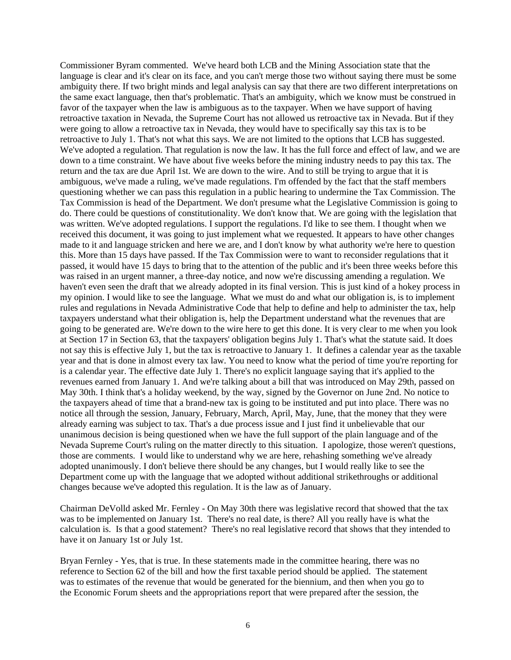Commissioner Byram commented. We've heard both LCB and the Mining Association state that the language is clear and it's clear on its face, and you can't merge those two without saying there must be some ambiguity there. If two bright minds and legal analysis can say that there are two different interpretations on the same exact language, then that's problematic. That's an ambiguity, which we know must be construed in favor of the taxpayer when the law is ambiguous as to the taxpayer. When we have support of having retroactive taxation in Nevada, the Supreme Court has not allowed us retroactive tax in Nevada. But if they were going to allow a retroactive tax in Nevada, they would have to specifically say this tax is to be retroactive to July 1. That's not what this says. We are not limited to the options that LCB has suggested. We've adopted a regulation. That regulation is now the law. It has the full force and effect of law, and we are down to a time constraint. We have about five weeks before the mining industry needs to pay this tax. The return and the tax are due April 1st. We are down to the wire. And to still be trying to argue that it is ambiguous, we've made a ruling, we've made regulations. I'm offended by the fact that the staff members questioning whether we can pass this regulation in a public hearing to undermine the Tax Commission. The Tax Commission is head of the Department. We don't presume what the Legislative Commission is going to do. There could be questions of constitutionality. We don't know that. We are going with the legislation that was written. We've adopted regulations. I support the regulations. I'd like to see them. I thought when we received this document, it was going to just implement what we requested. It appears to have other changes made to it and language stricken and here we are, and I don't know by what authority we're here to question this. More than 15 days have passed. If the Tax Commission were to want to reconsider regulations that it passed, it would have 15 days to bring that to the attention of the public and it's been three weeks before this was raised in an urgent manner, a three-day notice, and now we're discussing amending a regulation. We haven't even seen the draft that we already adopted in its final version. This is just kind of a hokey process in my opinion. I would like to see the language. What we must do and what our obligation is, is to implement rules and regulations in Nevada Administrative Code that help to define and help to administer the tax, help taxpayers understand what their obligation is, help the Department understand what the revenues that are going to be generated are. We're down to the wire here to get this done. It is very clear to me when you look at Section 17 in Section 63, that the taxpayers' obligation begins July 1. That's what the statute said. It does not say this is effective July 1, but the tax is retroactive to January 1. It defines a calendar year as the taxable year and that is done in almost every tax law. You need to know what the period of time you're reporting for is a calendar year. The effective date July 1. There's no explicit language saying that it's applied to the revenues earned from January 1. And we're talking about a bill that was introduced on May 29th, passed on May 30th. I think that's a holiday weekend, by the way, signed by the Governor on June 2nd. No notice to the taxpayers ahead of time that a brand-new tax is going to be instituted and put into place. There was no notice all through the session, January, February, March, April, May, June, that the money that they were already earning was subject to tax. That's a due process issue and I just find it unbelievable that our unanimous decision is being questioned when we have the full support of the plain language and of the Nevada Supreme Court's ruling on the matter directly to this situation. I apologize, those weren't questions, those are comments. I would like to understand why we are here, rehashing something we've already adopted unanimously. I don't believe there should be any changes, but I would really like to see the Department come up with the language that we adopted without additional strikethroughs or additional changes because we've adopted this regulation. It is the law as of January.

Chairman DeVolld asked Mr. Fernley - On May 30th there was legislative record that showed that the tax was to be implemented on January 1st. There's no real date, is there? All you really have is what the calculation is. Is that a good statement? There's no real legislative record that shows that they intended to have it on January 1st or July 1st.

Bryan Fernley - Yes, that is true. In these statements made in the committee hearing, there was no reference to Section 62 of the bill and how the first taxable period should be applied. The statement was to estimates of the revenue that would be generated for the biennium, and then when you go to the Economic Forum sheets and the appropriations report that were prepared after the session, the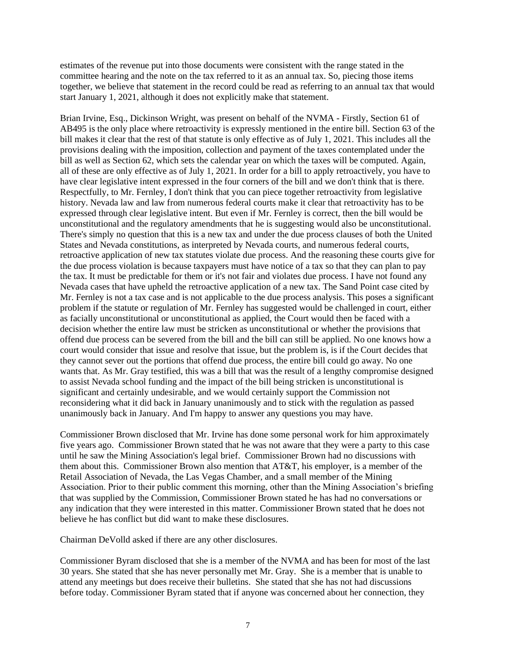estimates of the revenue put into those documents were consistent with the range stated in the committee hearing and the note on the tax referred to it as an annual tax. So, piecing those items together, we believe that statement in the record could be read as referring to an annual tax that would start January 1, 2021, although it does not explicitly make that statement.

Brian Irvine, Esq., Dickinson Wright, was present on behalf of the NVMA - Firstly, Section 61 of AB495 is the only place where retroactivity is expressly mentioned in the entire bill. Section 63 of the bill makes it clear that the rest of that statute is only effective as of July 1, 2021. This includes all the provisions dealing with the imposition, collection and payment of the taxes contemplated under the bill as well as Section 62, which sets the calendar year on which the taxes will be computed. Again, all of these are only effective as of July 1, 2021. In order for a bill to apply retroactively, you have to have clear legislative intent expressed in the four corners of the bill and we don't think that is there. Respectfully, to Mr. Fernley, I don't think that you can piece together retroactivity from legislative history. Nevada law and law from numerous federal courts make it clear that retroactivity has to be expressed through clear legislative intent. But even if Mr. Fernley is correct, then the bill would be unconstitutional and the regulatory amendments that he is suggesting would also be unconstitutional. There's simply no question that this is a new tax and under the due process clauses of both the United States and Nevada constitutions, as interpreted by Nevada courts, and numerous federal courts, retroactive application of new tax statutes violate due process. And the reasoning these courts give for the due process violation is because taxpayers must have notice of a tax so that they can plan to pay the tax. It must be predictable for them or it's not fair and violates due process. I have not found any Nevada cases that have upheld the retroactive application of a new tax. The Sand Point case cited by Mr. Fernley is not a tax case and is not applicable to the due process analysis. This poses a significant problem if the statute or regulation of Mr. Fernley has suggested would be challenged in court, either as facially unconstitutional or unconstitutional as applied, the Court would then be faced with a decision whether the entire law must be stricken as unconstitutional or whether the provisions that offend due process can be severed from the bill and the bill can still be applied. No one knows how a court would consider that issue and resolve that issue, but the problem is, is if the Court decides that they cannot sever out the portions that offend due process, the entire bill could go away. No one wants that. As Mr. Gray testified, this was a bill that was the result of a lengthy compromise designed to assist Nevada school funding and the impact of the bill being stricken is unconstitutional is significant and certainly undesirable, and we would certainly support the Commission not reconsidering what it did back in January unanimously and to stick with the regulation as passed unanimously back in January. And I'm happy to answer any questions you may have.

Commissioner Brown disclosed that Mr. Irvine has done some personal work for him approximately five years ago. Commissioner Brown stated that he was not aware that they were a party to this case until he saw the Mining Association's legal brief. Commissioner Brown had no discussions with them about this. Commissioner Brown also mention that AT&T, his employer, is a member of the Retail Association of Nevada, the Las Vegas Chamber, and a small member of the Mining Association. Prior to their public comment this morning, other than the Mining Association's briefing that was supplied by the Commission, Commissioner Brown stated he has had no conversations or any indication that they were interested in this matter. Commissioner Brown stated that he does not believe he has conflict but did want to make these disclosures.

Chairman DeVolld asked if there are any other disclosures.

Commissioner Byram disclosed that she is a member of the NVMA and has been for most of the last 30 years. She stated that she has never personally met Mr. Gray. She is a member that is unable to attend any meetings but does receive their bulletins. She stated that she has not had discussions before today. Commissioner Byram stated that if anyone was concerned about her connection, they